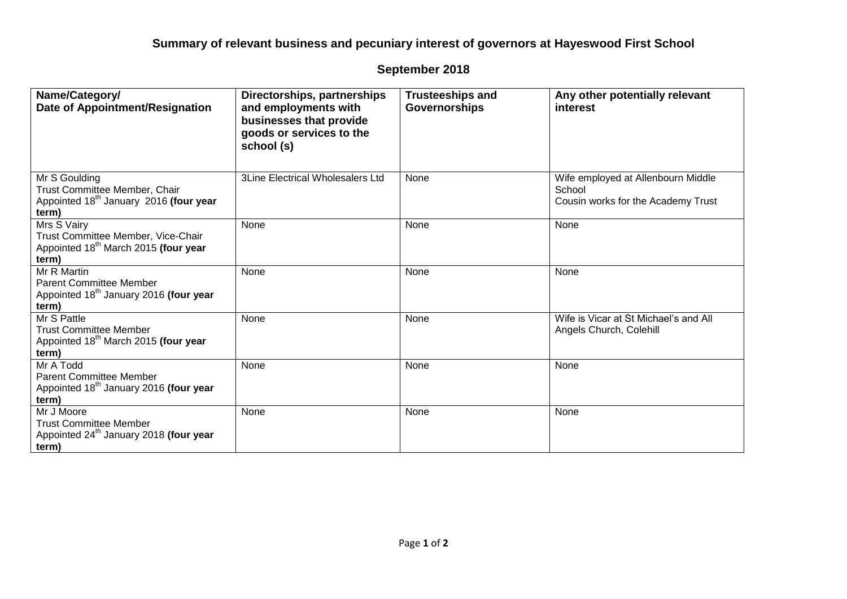## **Summary of relevant business and pecuniary interest of governors at Hayeswood First School**

## **September 2018**

| Name/Category/<br>Date of Appointment/Resignation                                                              | Directorships, partnerships<br>and employments with<br>businesses that provide<br>goods or services to the<br>school (s) | <b>Trusteeships and</b><br><b>Governorships</b> | Any other potentially relevant<br>interest                                         |
|----------------------------------------------------------------------------------------------------------------|--------------------------------------------------------------------------------------------------------------------------|-------------------------------------------------|------------------------------------------------------------------------------------|
| Mr S Goulding<br>Trust Committee Member, Chair<br>Appointed 18 <sup>th</sup> January 2016 (four year<br>term)  | <b>3Line Electrical Wholesalers Ltd</b>                                                                                  | None                                            | Wife employed at Allenbourn Middle<br>School<br>Cousin works for the Academy Trust |
| Mrs S Vairy<br>Trust Committee Member, Vice-Chair<br>Appointed 18 <sup>th</sup> March 2015 (four year<br>term) | None                                                                                                                     | None                                            | None                                                                               |
| Mr R Martin<br><b>Parent Committee Member</b><br>Appointed 18 <sup>th</sup> January 2016 (four year<br>term)   | None                                                                                                                     | None                                            | None                                                                               |
| Mr S Pattle<br><b>Trust Committee Member</b><br>Appointed 18 <sup>th</sup> March 2015 (four year<br>term)      | None                                                                                                                     | None                                            | Wife is Vicar at St Michael's and All<br>Angels Church, Colehill                   |
| Mr A Todd<br><b>Parent Committee Member</b><br>Appointed 18 <sup>th</sup> January 2016 (four year<br>term)     | None                                                                                                                     | None                                            | None                                                                               |
| Mr J Moore<br><b>Trust Committee Member</b><br>Appointed 24 <sup>th</sup> January 2018 (four year<br>term)     | None                                                                                                                     | None                                            | None                                                                               |